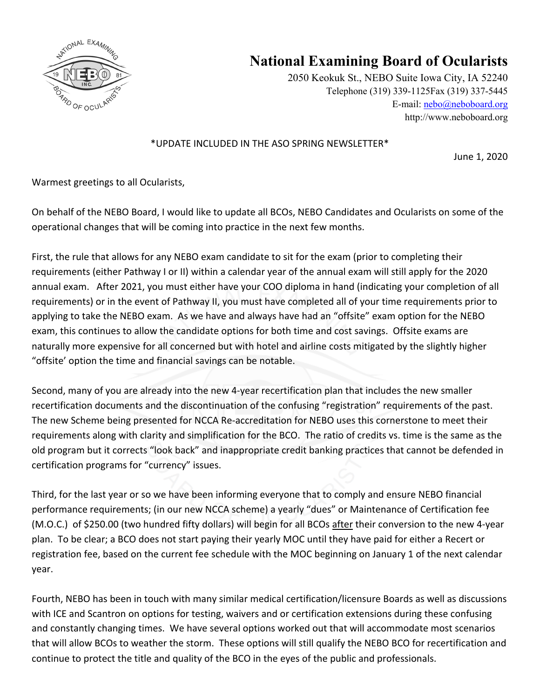

## **National Examining Board of Ocularists**

2050 Keokuk St., NEBO Suite Iowa City, IA 52240 Telephone (319) 339-1125Fax (319) 337-5445 E-mail: nebo@neboboard.org http://www.neboboard.org

## \*UPDATE INCLUDED IN THE ASO SPRING NEWSLETTER\*

June 1, 2020

Warmest greetings to all Ocularists,

On behalf of the NEBO Board, I would like to update all BCOs, NEBO Candidates and Ocularists on some of the operational changes that will be coming into practice in the next few months.

First, the rule that allows for any NEBO exam candidate to sit for the exam (prior to completing their requirements (either Pathway I or II) within a calendar year of the annual exam will still apply for the 2020 annual exam. After 2021, you must either have your COO diploma in hand (indicating your completion of all requirements) or in the event of Pathway II, you must have completed all of your time requirements prior to applying to take the NEBO exam. As we have and always have had an "offsite" exam option for the NEBO exam, this continues to allow the candidate options for both time and cost savings. Offsite exams are naturally more expensive for all concerned but with hotel and airline costs mitigated by the slightly higher "offsite' option the time and financial savings can be notable.

Second, many of you are already into the new 4-year recertification plan that includes the new smaller recertification documents and the discontinuation of the confusing "registration" requirements of the past. The new Scheme being presented for NCCA Re-accreditation for NEBO uses this cornerstone to meet their requirements along with clarity and simplification for the BCO. The ratio of credits vs. time is the same as the old program but it corrects "look back" and inappropriate credit banking practices that cannot be defended in certification programs for "currency" issues.

Third, for the last year or so we have been informing everyone that to comply and ensure NEBO financial performance requirements; (in our new NCCA scheme) a yearly "dues" or Maintenance of Certification fee (M.O.C.) of \$250.00 (two hundred fifty dollars) will begin for all BCOs after their conversion to the new 4-year plan. To be clear; a BCO does not start paying their yearly MOC until they have paid for either a Recert or registration fee, based on the current fee schedule with the MOC beginning on January 1 of the next calendar year.

Fourth, NEBO has been in touch with many similar medical certification/licensure Boards as well as discussions with ICE and Scantron on options for testing, waivers and or certification extensions during these confusing and constantly changing times. We have several options worked out that will accommodate most scenarios that will allow BCOs to weather the storm. These options will still qualify the NEBO BCO for recertification and continue to protect the title and quality of the BCO in the eyes of the public and professionals.